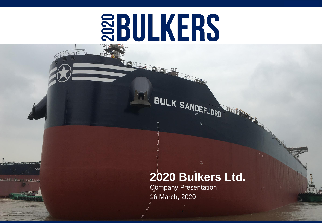# **SBULKERS**

**Oliveis** 

<del>िल्ला स्थान स्थल छन्</del>

# **2020 Bulkers Ltd.**

 $\vec{r}^{\prime\prime}_{\vec{q}^{\prime\prime}}$ 

Company Presentation 16 March, 2020

BULK SANDEFJORD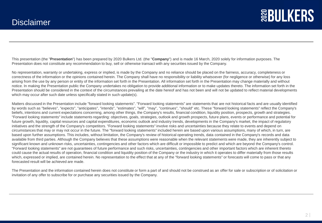This presentation (the "**Presentation**") has been prepared by 2020 Bulkers Ltd. (the "**Company**") and is made 16 March, 2020 solely for information purposes. The Presentation does not constitute any recommendation to buy, sell or otherwise transact with any securities issued by the Company.

No representation, warranty or undertaking, express or implied, is made by the Company and no reliance should be placed on the fairness, accuracy, completeness or correctness of the information or the opinions contained herein. The Company shall have no responsibility or liability whatsoever (for negligence or otherwise) for any loss arising from the use by any person or entity of the information set forth in the Presentation. All information set forth in the Presentation may change materially and without notice. In making the Presentation public the Company undertakes no obligation to provide additional information or to make updates thereto. The information set forth in the Presentation should be considered in the context of the circumstances prevailing at the date hereof and has not been and will not be updated to reflect material developments which may occur after such date unless specifically stated in such update(s).

Matters discussed in the Presentation include "forward looking statements". "Forward looking statements" are statements that are not historical facts and are usually identified by words such as "believes", "expects", "anticipates", "intends", "estimates", "will", "may", "continues", "should" etc. These "forward looking statements" reflect the Company's beliefs, intentions and current expectations concerning, among other things, the Company's results, financial condition, liquidity position, prospects, growth and strategies. "Forward looking statements" include statements regarding: objectives, goals, strategies, outlook and growth prospects, future plans, events or performance and potential for future growth, liquidity, capital resources and capital expenditures, economic outlook and industry trends, developments in the Company's market, the impact of regulatory initiatives and the strength of the Company's competitors. "Forward looking statements" involve risks and uncertainties because they relate to events and depend on circumstances that may or may not occur in the future. The "forward looking statements" included herein are based upon various assumptions, many of which, in turn, are based upon further assumptions. This includes, without limitation, the Company's review of historical operating trends, data contained in the Company's records and data available from third parties. Although the Company believes that these assumptions were reasonable when the relevant statements were made, they are inherently subject to significant known and unknown risks, uncertainties, contingencies and other factors which are difficult or impossible to predict and which are beyond the Company's control. "Forward looking statements" are not guarantees of future performance and such risks, uncertainties, contingencies and other important factors which are inherent thereto could cause the actual results of operation, financial condition and liquidity position of the Company or the industry in which it operates to differ materially from those results which, expressed or implied, are contained herein. No representation to the effect that at any of the "forward looking statements" or forecasts will come to pass or that any forecasted result will be achieved are made.

The Presentation and the information contained herein does not constitute or form a part of and should not be construed as an offer for sale or subscription or of solicitation or invitation of any offer to subscribe for or purchase any securities issued by the Company.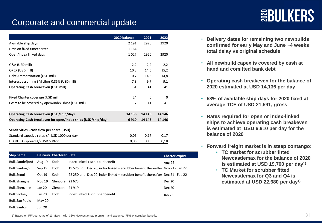# **SEBULKERS**

## Corporate and commercial update

|                                                              | 2020 balance | 2021     | 2022    |
|--------------------------------------------------------------|--------------|----------|---------|
| Available ship days                                          | 2 1 9 1      | 2920     | 2920    |
| Days on fixed timecharter                                    | 1 1 6 4      |          |         |
| Open/index linked days                                       | 1027         | 2920     | 2920    |
| G&A (USD mill)                                               | 2,2          | 2,2      | 2,2     |
| OPEX (USD mill)                                              | 10,3         | 14,6     | 15,2    |
| Debt Ammortization (USD mill)                                | 10,7         | 14,8     | 14,8    |
| Interest assuming 3M Libor 0,85% (USD mill)                  | 7,8          | 9,7      | 9,1     |
| <b>Operating Cash breakeven (USD mill)</b>                   | 31           | 41       | 41      |
| Fixed Charter coverage (USD mill)                            | 24           | $\Omega$ | 0       |
| Costs to be covered by open/index ships (USD mill)           | 7            | 41       | 41      |
| Operating Cash breakeven (USD/ship/day)                      | 14 13 6      | 14 14 6  | 14 14 6 |
| Operating Cash breakeven for open/index ships (USD/ship/day) | 6910         | 14 14 6  | 14 14 6 |
| Sensitivities - cash flow per share (USD)                    |              |          |         |
| Standard capesize rates +/- USD 1000 per day                 | 0,06         | 0,17     | 0,17    |
| HFO/LSFO spread +/- USD 50/ton                               | 0,06         | 0,18     | 0,18    |

| Ship name              |               | Delivery Charterer Rate |                                                                                 | <b>Charter expiry</b> |
|------------------------|---------------|-------------------------|---------------------------------------------------------------------------------|-----------------------|
| <b>Bulk Sandefjord</b> | Aug 19        | Koch                    | Index linked + scrubber benefit                                                 | <b>Aug 22</b>         |
| <b>Bulk Santiago</b>   | Sep 19        | Koch                    | 19525 until Dec 20, index linked + scrubber benefit thereafter Nov 21 - Jan 22  |                       |
| <b>Bulk Seoul</b>      | Oct 19        | Koch                    | 22 250 until Dec 20, index linked + scrubber benefit thereafter Dec 21 - Feb 22 |                       |
| <b>Bulk Shanghai</b>   | <b>Nov 19</b> | Glencore                | 22 673                                                                          | <b>Dec 20</b>         |
| <b>Bulk Shenzhen</b>   | Jan 20        | Glencore                | 21919                                                                           | <b>Dec 20</b>         |
| <b>Bulk Sydney</b>     | Jan 20        | Koch                    | Index linked + scrubber benefit                                                 | Jan 23                |
| Bulk Sao Paulo         | May 20        |                         |                                                                                 |                       |
| <b>Bulk Santos</b>     | <b>Jun 20</b> |                         |                                                                                 |                       |

- **Delivery dates for remaining two newbuilds confirmed for early May and June ~4 weeks total delay vs original schedule**
- **All newbuild capex is covered by cash at hand and comitted bank debt**
- **Operating cash breakeven for the balance of 2020 estimated at USD 14,136 per day**
- **53% of available ship days for 2020 fixed at average TCE of USD 21,591, gross**
- **Rates required for open or index-linked ships to achieve operating cash breakeven is estimated at USD 6,910 per day for the balance of 2020**
- **Forward freight market is in steep contango:**
	- **TC market for scrubber fitted Newcastlemax for the balance of 2020 is estimated at USD 19,700 per day1)**
	- **TC Market for scrubber fitted Newcastlemax for Q3 and Q4 is estimated at USD 22,680 per day1)**

1) Based on FFA curve as of 13 March, with 38% Newcastlemac premium and assumed 75% of scrubber benefits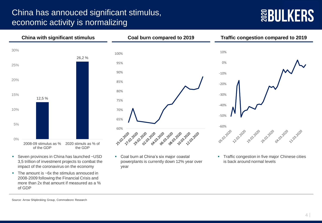### China has annouced significant stimulus, economic activity is normalizing

# **SEBULKERS**



- Seven provinces in China has launched ~USD 3,5 trillion of investment projects to combat the impact of the coronavirus on the economy
- The amount is ~6x the stimulus annouced in 2008-2009 following the Financial Crisis and more than 2x that amount if measured as a % of GDP
- Coal burn at China's six major coastal powerplants is currently down 12% year over year
- **Traffic congestion in five major Chinese cities** is back around normal levels

26.02.2020

11/03.2020

Source: Arrow Shipbroking Group, Commodeore Research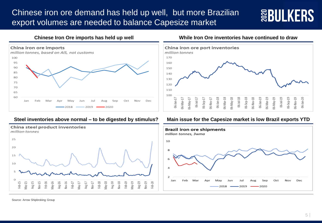### Chinese iron ore demand has held up well, but more Brazilian export volumes are needed to balance Capesize market

# **SEULKERS**





#### **Chinese Iron Ore imports has held up well While Iron Ore inventories have continued to draw**



#### **Steel inventories above normal – to be digested by stimulus? Main issue for the Capesize market is low Brazil exports YTD**



Source: Arrow Shipbroking Group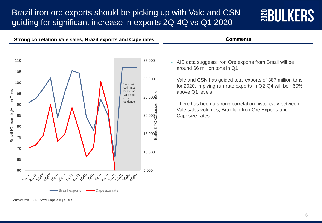### Brazil iron ore exports should be picking up with Vale and CSN guiding for significant increase in exports 2Q-4Q vs Q1 2020

**Strong correlation Vale sales, Brazil exports and Cape rates Comments**



#### 110 35 000 105 30 000 100 Volumes estimated Brazil IO exports, Million Tons Brazil IO exports,Million Tons above Q1 levels based on 25 000 95 Baltic 5TC Capesize Index Vale and **CSN** guidance1926<br>20 00000<br>20 0000 90 Capesize rates 85 5TC 80 15 000 75 70 10 000 65 5 000 60 2020-02-020 Brazil exports **- Capesize rate**

- AIS data suggests Iron Ore exports from Brazil will be around 66 million tons in Q1

- Vale and CSN has guided total exports of 387 million tons for 2020, implying run-rate exports in Q2-Q4 will be ~60%
- There has been a strong correlation historically between Vale sales volumes, Brazilian Iron Ore Exports and

Sources: Vale, CSN, Arrow Shipbroking Group